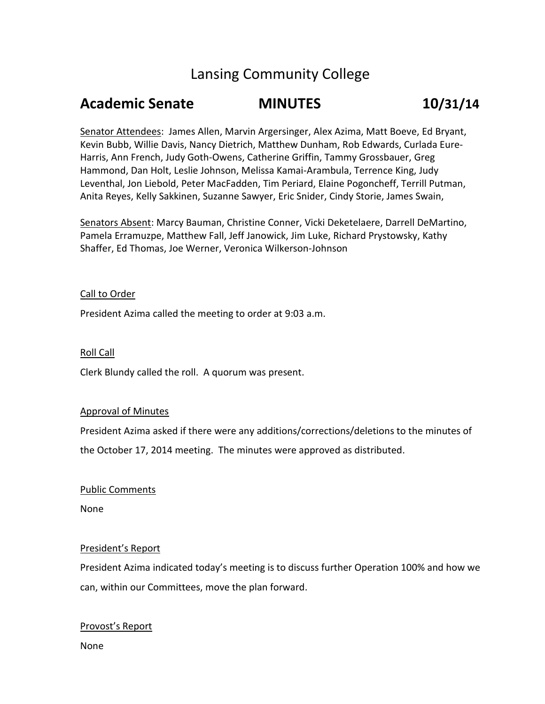# Lansing Community College

# **Academic Senate MINUTES 10/31/14**

Senator Attendees: James Allen, Marvin Argersinger, Alex Azima, Matt Boeve, Ed Bryant, Kevin Bubb, Willie Davis, Nancy Dietrich, Matthew Dunham, Rob Edwards, Curlada Eure-Harris, Ann French, Judy Goth-Owens, Catherine Griffin, Tammy Grossbauer, Greg Hammond, Dan Holt, Leslie Johnson, Melissa Kamai-Arambula, Terrence King, Judy Leventhal, Jon Liebold, Peter MacFadden, Tim Periard, Elaine Pogoncheff, Terrill Putman, Anita Reyes, Kelly Sakkinen, Suzanne Sawyer, Eric Snider, Cindy Storie, James Swain,

Senators Absent: Marcy Bauman, Christine Conner, Vicki Deketelaere, Darrell DeMartino, Pamela Erramuzpe, Matthew Fall, Jeff Janowick, Jim Luke, Richard Prystowsky, Kathy Shaffer, Ed Thomas, Joe Werner, Veronica Wilkerson-Johnson

### Call to Order

President Azima called the meeting to order at 9:03 a.m.

#### Roll Call

Clerk Blundy called the roll. A quorum was present.

#### Approval of Minutes

President Azima asked if there were any additions/corrections/deletions to the minutes of the October 17, 2014 meeting. The minutes were approved as distributed.

#### Public Comments

None

# President's Report

President Azima indicated today's meeting is to discuss further Operation 100% and how we can, within our Committees, move the plan forward.

#### Provost's Report

None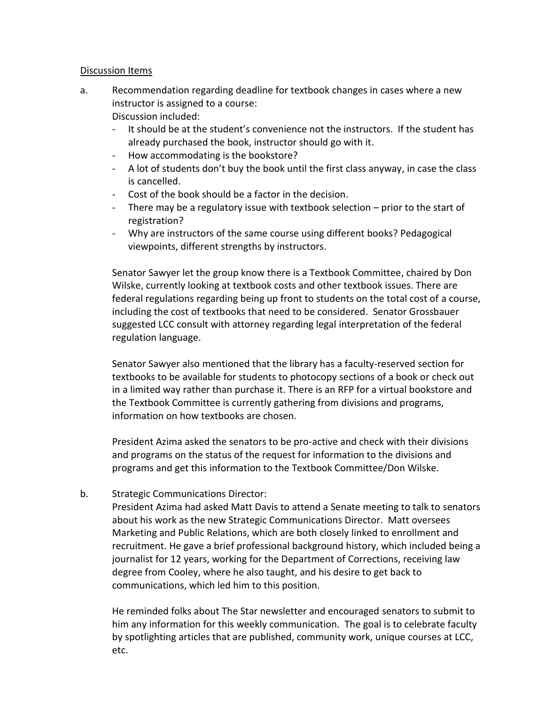# Discussion Items

- a. Recommendation regarding deadline for textbook changes in cases where a new instructor is assigned to a course: Discussion included:
	- It should be at the student's convenience not the instructors. If the student has already purchased the book, instructor should go with it.
	- How accommodating is the bookstore?
	- A lot of students don't buy the book until the first class anyway, in case the class is cancelled.
	- Cost of the book should be a factor in the decision.
	- There may be a regulatory issue with textbook selection prior to the start of registration?
	- Why are instructors of the same course using different books? Pedagogical viewpoints, different strengths by instructors.

Senator Sawyer let the group know there is a Textbook Committee, chaired by Don Wilske, currently looking at textbook costs and other textbook issues. There are federal regulations regarding being up front to students on the total cost of a course, including the cost of textbooks that need to be considered. Senator Grossbauer suggested LCC consult with attorney regarding legal interpretation of the federal regulation language.

Senator Sawyer also mentioned that the library has a faculty-reserved section for textbooks to be available for students to photocopy sections of a book or check out in a limited way rather than purchase it. There is an RFP for a virtual bookstore and the Textbook Committee is currently gathering from divisions and programs, information on how textbooks are chosen.

President Azima asked the senators to be pro-active and check with their divisions and programs on the status of the request for information to the divisions and programs and get this information to the Textbook Committee/Don Wilske.

# b. Strategic Communications Director:

President Azima had asked Matt Davis to attend a Senate meeting to talk to senators about his work as the new Strategic Communications Director. Matt oversees Marketing and Public Relations, which are both closely linked to enrollment and recruitment. He gave a brief professional background history, which included being a journalist for 12 years, working for the Department of Corrections, receiving law degree from Cooley, where he also taught, and his desire to get back to communications, which led him to this position.

He reminded folks about The Star newsletter and encouraged senators to submit to him any information for this weekly communication. The goal is to celebrate faculty by spotlighting articles that are published, community work, unique courses at LCC, etc.